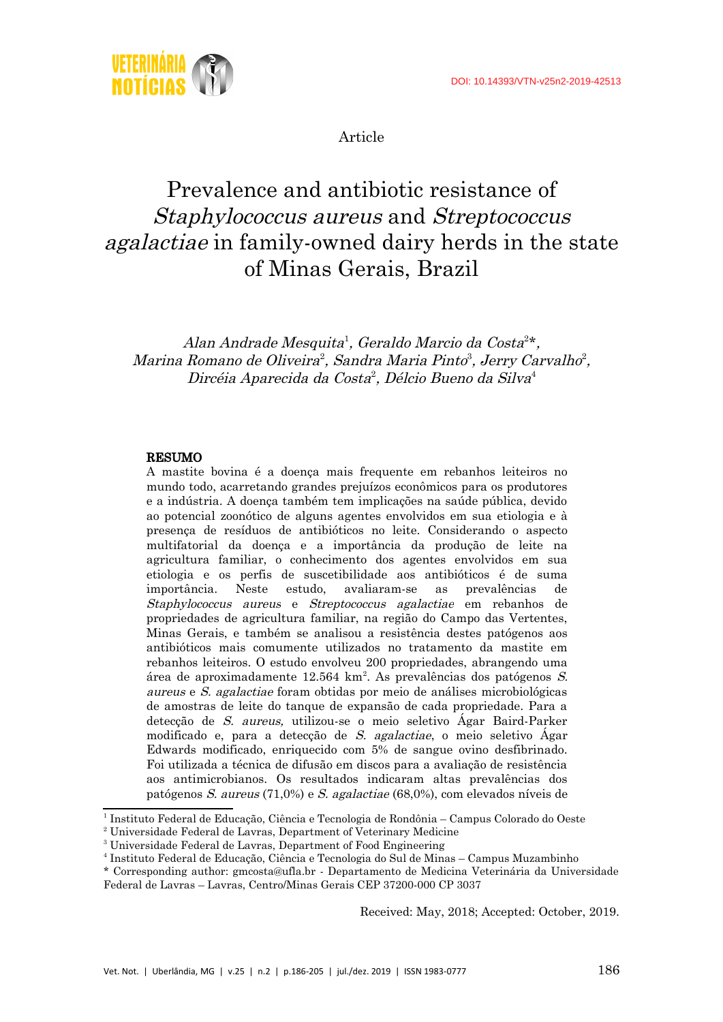

Article

# Prevalence and antibiotic resistance of Staphylococcus aureus and Streptococcus agalactiae in family-owned dairy herds in the state of Minas Gerais, Brazil

Alan Andrade Mesquita<sup>[1](#page-0-0)</sup>, Geraldo Marcio da Costa<sup>[2](#page-0-1)\*</sup>, Marina Romano de Oliveira<sup>2</sup>, Sandra Maria Pinto<sup>[3](#page-0-2)</sup>, Jerry Carvalho<sup>2</sup>, Dircéia Aparecida da Costa 2 , Délcio Bueno da Silva [4](#page-0-3)

### RESUMO

A mastite bovina é a doença mais frequente em rebanhos leiteiros no mundo todo, acarretando grandes prejuízos econômicos para os produtores e a indústria. A doença também tem implicações na saúde pública, devido ao potencial zoonótico de alguns agentes envolvidos em sua etiologia e à presença de resíduos de antibióticos no leite. Considerando o aspecto multifatorial da doença e a importância da produção de leite na agricultura familiar, o conhecimento dos agentes envolvidos em sua etiologia e os perfis de suscetibilidade aos antibióticos é de suma importância. Neste estudo, avaliaram-se as prevalências de Staphylococcus aureus e Streptococcus agalactiae em rebanhos de propriedades de agricultura familiar, na região do Campo das Vertentes, Minas Gerais, e também se analisou a resistência destes patógenos aos antibióticos mais comumente utilizados no tratamento da mastite em rebanhos leiteiros. O estudo envolveu 200 propriedades, abrangendo uma área de aproximadamente  $12.564 \text{ km}^2$ . As prevalências dos patógenos S. aureus e S. agalactiae foram obtidas por meio de análises microbiológicas de amostras de leite do tanque de expansão de cada propriedade. Para a detecção de S. aureus, utilizou-se o meio seletivo Ágar Baird-Parker modificado e, para a detecção de S. agalactiae, o meio seletivo Ágar Edwards modificado, enriquecido com 5% de sangue ovino desfibrinado. Foi utilizada a técnica de difusão em discos para a avaliação de resistência aos antimicrobianos. Os resultados indicaram altas prevalências dos patógenos S. aureus (71,0%) e S. agalactiae (68,0%), com elevados níveis de

Received: May, 2018; Accepted: October, 2019.

<span id="page-0-0"></span><sup>&</sup>lt;sup>1</sup> Instituto Federal de Educação, Ciência e Tecnologia de Rondônia – Campus Colorado do Oeste

<span id="page-0-1"></span><sup>&</sup>lt;sup>2</sup> Universidade Federal de Lavras, Department of Veterinary Medicine

<span id="page-0-2"></span><sup>&</sup>lt;sup>3</sup> Universidade Federal de Lavras, Department of Food Engineering

<span id="page-0-3"></span><sup>4</sup> Instituto Federal de Educação, Ciência e Tecnologia do Sul de Minas – Campus Muzambinho

<sup>\*</sup> Corresponding author: gmcosta@ufla.br - Departamento de Medicina Veterinária da Universidade Federal de Lavras – Lavras, Centro/Minas Gerais CEP 37200-000 CP 3037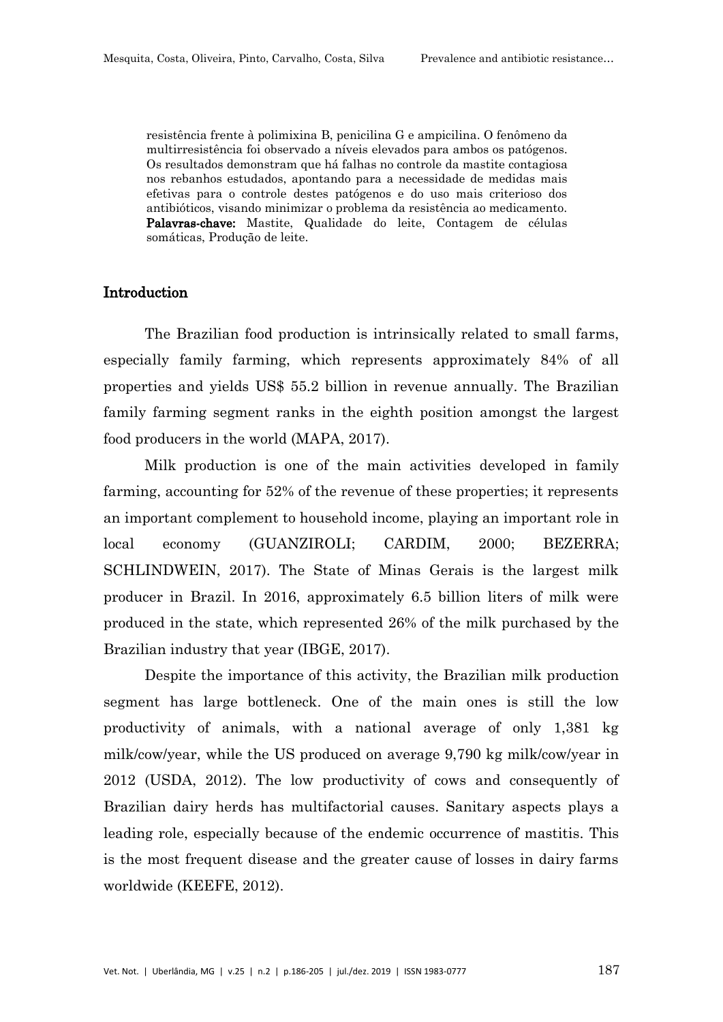resistência frente à polimixina B, penicilina G e ampicilina. O fenômeno da multirresistência foi observado a níveis elevados para ambos os patógenos. Os resultados demonstram que há falhas no controle da mastite contagiosa nos rebanhos estudados, apontando para a necessidade de medidas mais efetivas para o controle destes patógenos e do uso mais criterioso dos antibióticos, visando minimizar o problema da resistência ao medicamento. Palavras-chave: Mastite, Qualidade do leite, Contagem de células somáticas, Produção de leite.

## Introduction

The Brazilian food production is intrinsically related to small farms, especially family farming, which represents approximately 84% of all properties and yields US\$ 55.2 billion in revenue annually. The Brazilian family farming segment ranks in the eighth position amongst the largest food producers in the world (MAPA, 2017).

Milk production is one of the main activities developed in family farming, accounting for 52% of the revenue of these properties; it represents an important complement to household income, playing an important role in local economy (GUANZIROLI; CARDIM, 2000; BEZERRA; SCHLINDWEIN, 2017). The State of Minas Gerais is the largest milk producer in Brazil. In 2016, approximately 6.5 billion liters of milk were produced in the state, which represented 26% of the milk purchased by the Brazilian industry that year (IBGE, 2017).

Despite the importance of this activity, the Brazilian milk production segment has large bottleneck. One of the main ones is still the low productivity of animals, with a national average of only 1,381 kg milk/cow/year, while the US produced on average 9,790 kg milk/cow/year in 2012 (USDA, 2012). The low productivity of cows and consequently of Brazilian dairy herds has multifactorial causes. Sanitary aspects plays a leading role, especially because of the endemic occurrence of mastitis. This is the most frequent disease and the greater cause of losses in dairy farms worldwide (KEEFE, 2012).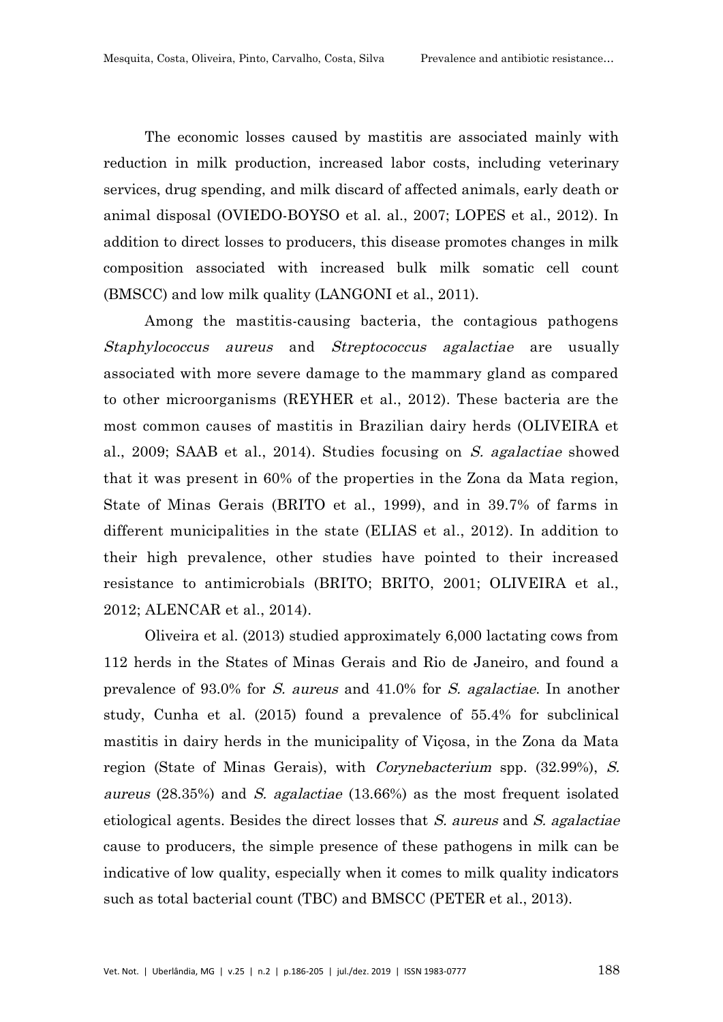The economic losses caused by mastitis are associated mainly with reduction in milk production, increased labor costs, including veterinary services, drug spending, and milk discard of affected animals, early death or animal disposal (OVIEDO-BOYSO et al. al., 2007; LOPES et al., 2012). In addition to direct losses to producers, this disease promotes changes in milk composition associated with increased bulk milk somatic cell count (BMSCC) and low milk quality (LANGONI et al., 2011).

Among the mastitis-causing bacteria, the contagious pathogens Staphylococcus aureus and Streptococcus agalactiae are usually associated with more severe damage to the mammary gland as compared to other microorganisms (REYHER et al., 2012). These bacteria are the most common causes of mastitis in Brazilian dairy herds (OLIVEIRA et al., 2009; SAAB et al., 2014). Studies focusing on S. agalactiae showed that it was present in 60% of the properties in the Zona da Mata region, State of Minas Gerais (BRITO et al., 1999), and in 39.7% of farms in different municipalities in the state (ELIAS et al., 2012). In addition to their high prevalence, other studies have pointed to their increased resistance to antimicrobials (BRITO; BRITO, 2001; OLIVEIRA et al., 2012; ALENCAR et al., 2014).

Oliveira et al. (2013) studied approximately 6,000 lactating cows from 112 herds in the States of Minas Gerais and Rio de Janeiro, and found a prevalence of 93.0% for S. aureus and 41.0% for S. agalactiae. In another study, Cunha et al. (2015) found a prevalence of 55.4% for subclinical mastitis in dairy herds in the municipality of Viçosa, in the Zona da Mata region (State of Minas Gerais), with Corynebacterium spp. (32.99%), S. aureus (28.35%) and S. agalactiae (13.66%) as the most frequent isolated etiological agents. Besides the direct losses that S. aureus and S. agalactiae cause to producers, the simple presence of these pathogens in milk can be indicative of low quality, especially when it comes to milk quality indicators such as total bacterial count (TBC) and BMSCC (PETER et al., 2013).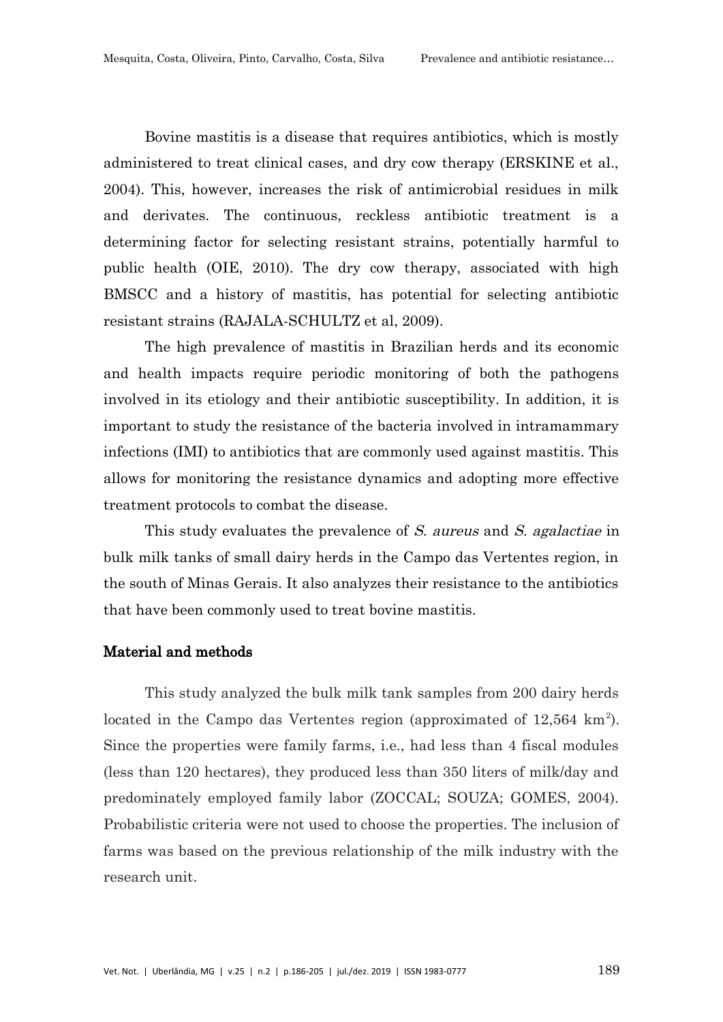Bovine mastitis is a disease that requires antibiotics, which is mostly administered to treat clinical cases, and dry cow therapy (ERSKINE et al., 2004). This, however, increases the risk of antimicrobial residues in milk and derivates. The continuous, reckless antibiotic treatment is a determining factor for selecting resistant strains, potentially harmful to public health (OIE, 2010). The dry cow therapy, associated with high BMSCC and a history of mastitis, has potential for selecting antibiotic resistant strains (RAJALA-SCHULTZ et al, 2009).

The high prevalence of mastitis in Brazilian herds and its economic and health impacts require periodic monitoring of both the pathogens involved in its etiology and their antibiotic susceptibility. In addition, it is important to study the resistance of the bacteria involved in intramammary infections (IMI) to antibiotics that are commonly used against mastitis. This allows for monitoring the resistance dynamics and adopting more effective treatment protocols to combat the disease.

This study evaluates the prevalence of S. aureus and S. agalactiae in bulk milk tanks of small dairy herds in the Campo das Vertentes region, in the south of Minas Gerais. It also analyzes their resistance to the antibiotics that have been commonly used to treat bovine mastitis.

### Material and methods

This study analyzed the bulk milk tank samples from 200 dairy herds located in the Campo das Vertentes region (approximated of  $12,564 \text{ km}^2$ ). Since the properties were family farms, i.e., had less than 4 fiscal modules (less than 120 hectares), they produced less than 350 liters of milk/day and predominately employed family labor (ZOCCAL; SOUZA; GOMES, 2004). Probabilistic criteria were not used to choose the properties. The inclusion of farms was based on the previous relationship of the milk industry with the research unit.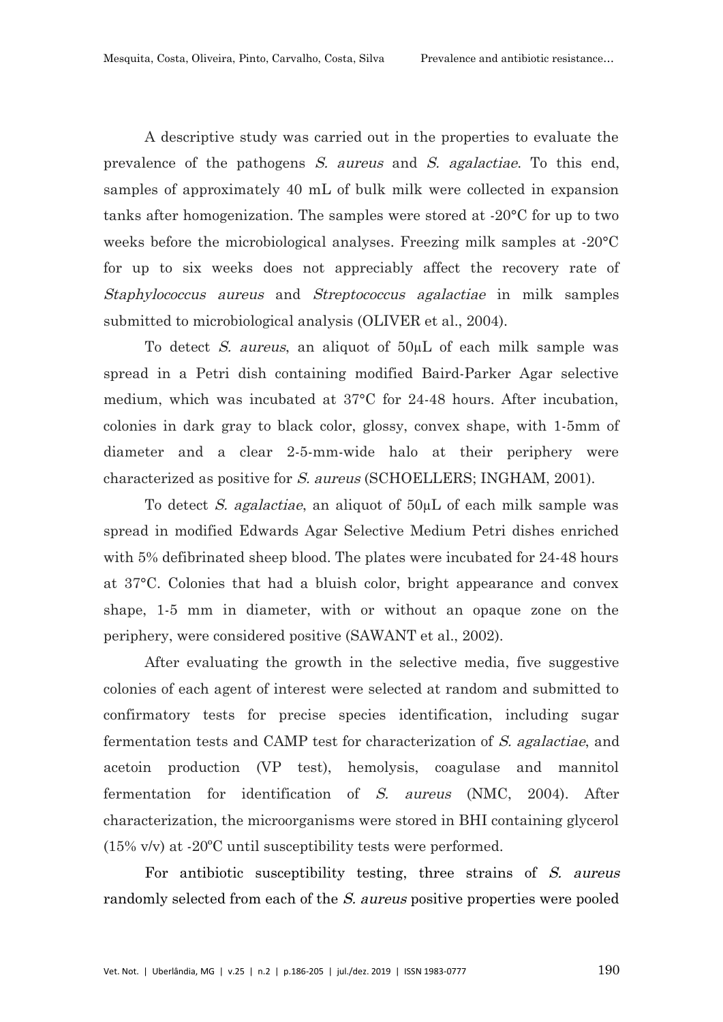A descriptive study was carried out in the properties to evaluate the prevalence of the pathogens S. aureus and S. agalactiae. To this end, samples of approximately 40 mL of bulk milk were collected in expansion tanks after homogenization. The samples were stored at -20°C for up to two weeks before the microbiological analyses. Freezing milk samples at -20°C for up to six weeks does not appreciably affect the recovery rate of Staphylococcus aureus and Streptococcus agalactiae in milk samples submitted to microbiological analysis (OLIVER et al., 2004).

To detect S. aureus, an aliquot of 50µL of each milk sample was spread in a Petri dish containing modified Baird-Parker Agar selective medium, which was incubated at 37°C for 24-48 hours. After incubation, colonies in dark gray to black color, glossy, convex shape, with 1-5mm of diameter and a clear 2-5-mm-wide halo at their periphery were characterized as positive for S. aureus (SCHOELLERS; INGHAM, 2001).

To detect *S. agalactiae*, an aliquot of  $50 \mu L$  of each milk sample was spread in modified Edwards Agar Selective Medium Petri dishes enriched with 5% defibrinated sheep blood. The plates were incubated for 24-48 hours at 37°C. Colonies that had a bluish color, bright appearance and convex shape, 1-5 mm in diameter, with or without an opaque zone on the periphery, were considered positive (SAWANT et al., 2002).

After evaluating the growth in the selective media, five suggestive colonies of each agent of interest were selected at random and submitted to confirmatory tests for precise species identification, including sugar fermentation tests and CAMP test for characterization of S. agalactiae, and acetoin production (VP test), hemolysis, coagulase and mannitol fermentation for identification of S. aureus (NMC, 2004). After characterization, the microorganisms were stored in BHI containing glycerol (15% v/v) at -20ºC until susceptibility tests were performed.

For antibiotic susceptibility testing, three strains of S. aureus randomly selected from each of the S. aureus positive properties were pooled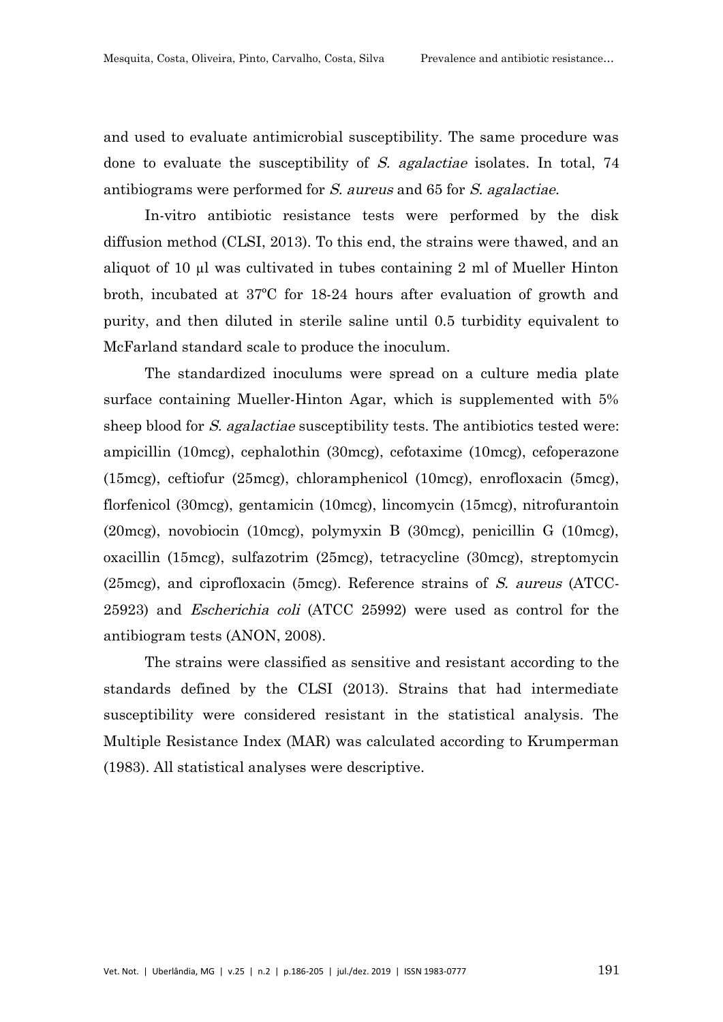and used to evaluate antimicrobial susceptibility. The same procedure was done to evaluate the susceptibility of S. agalactiae isolates. In total, 74 antibiograms were performed for S. aureus and 65 for S. agalactiae.

In-vitro antibiotic resistance tests were performed by the disk diffusion method (CLSI, 2013). To this end, the strains were thawed, and an aliquot of 10 µl was cultivated in tubes containing 2 ml of Mueller Hinton broth, incubated at 37ºC for 18-24 hours after evaluation of growth and purity, and then diluted in sterile saline until 0.5 turbidity equivalent to McFarland standard scale to produce the inoculum.

The standardized inoculums were spread on a culture media plate surface containing Mueller-Hinton Agar, which is supplemented with 5% sheep blood for S. agalactiae susceptibility tests. The antibiotics tested were: ampicillin (10mcg), cephalothin (30mcg), cefotaxime (10mcg), cefoperazone (15mcg), ceftiofur (25mcg), chloramphenicol (10mcg), enrofloxacin (5mcg), florfenicol (30mcg), gentamicin (10mcg), lincomycin (15mcg), nitrofurantoin (20mcg), novobiocin (10mcg), polymyxin B (30mcg), penicillin G (10mcg), oxacillin (15mcg), sulfazotrim (25mcg), tetracycline (30mcg), streptomycin (25mcg), and ciprofloxacin (5mcg). Reference strains of S. aureus (ATCC-25923) and Escherichia coli (ATCC 25992) were used as control for the antibiogram tests (ANON, 2008).

The strains were classified as sensitive and resistant according to the standards defined by the CLSI (2013). Strains that had intermediate susceptibility were considered resistant in the statistical analysis. The Multiple Resistance Index (MAR) was calculated according to Krumperman (1983). All statistical analyses were descriptive.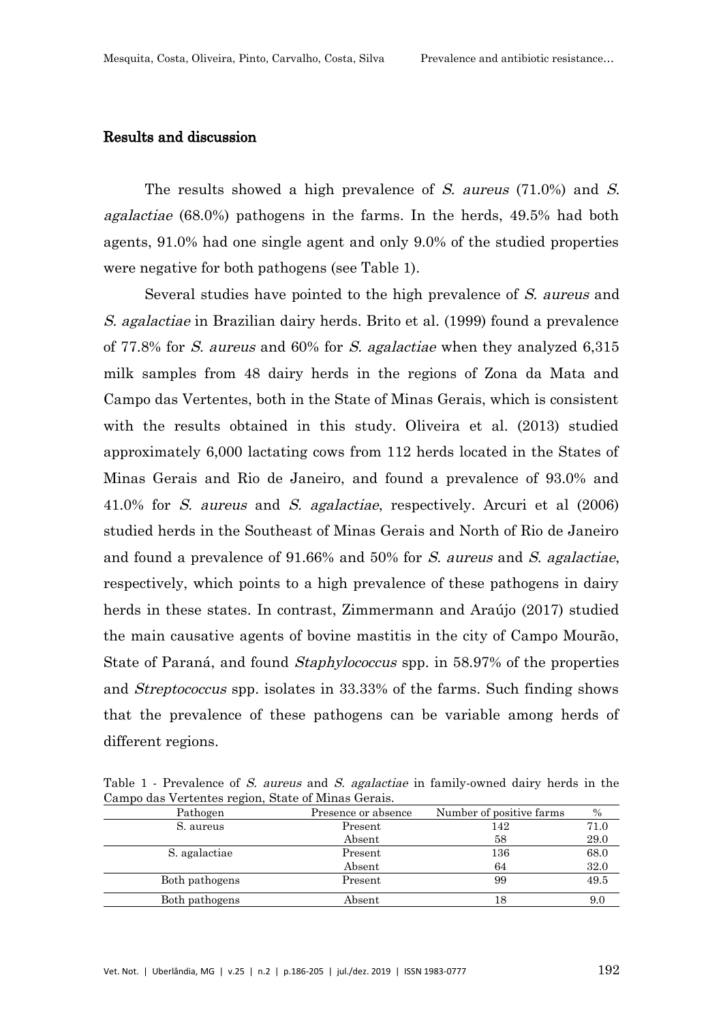### Results and discussion

The results showed a high prevalence of S. aureus (71.0%) and S. agalactiae (68.0%) pathogens in the farms. In the herds, 49.5% had both agents, 91.0% had one single agent and only 9.0% of the studied properties were negative for both pathogens (see Table 1).

Several studies have pointed to the high prevalence of S. aureus and S. agalactiae in Brazilian dairy herds. Brito et al. (1999) found a prevalence of 77.8% for S. aureus and 60% for S. agalactiae when they analyzed 6,315 milk samples from 48 dairy herds in the regions of Zona da Mata and Campo das Vertentes, both in the State of Minas Gerais, which is consistent with the results obtained in this study. Oliveira et al. (2013) studied approximately 6,000 lactating cows from 112 herds located in the States of Minas Gerais and Rio de Janeiro, and found a prevalence of 93.0% and 41.0% for S. aureus and S. agalactiae, respectively. Arcuri et al (2006) studied herds in the Southeast of Minas Gerais and North of Rio de Janeiro and found a prevalence of 91.66% and 50% for S. aureus and S. agalactiae, respectively, which points to a high prevalence of these pathogens in dairy herds in these states. In contrast, Zimmermann and Araújo (2017) studied the main causative agents of bovine mastitis in the city of Campo Mourão, State of Paraná, and found Staphylococcus spp. in 58.97% of the properties and Streptococcus spp. isolates in 33.33% of the farms. Such finding shows that the prevalence of these pathogens can be variable among herds of different regions.

Table 1 - Prevalence of S. aureus and S. agalactiae in family-owned dairy herds in the Campo das Vertentes region, State of Minas Gerais.

| Pathogen       | Presence or absence | Number of positive farms | $\frac{0}{0}$ |
|----------------|---------------------|--------------------------|---------------|
| S. aureus      | Present             | 142                      | 71.0          |
|                | Absent              | 58                       | 29.0          |
| S. agalactiae  | Present             | 136                      | 68.0          |
|                | Absent              | 64                       | 32.0          |
| Both pathogens | Present             | 99                       | 49.5          |
| Both pathogens | Absent              | 18                       | 9.0           |
|                |                     |                          |               |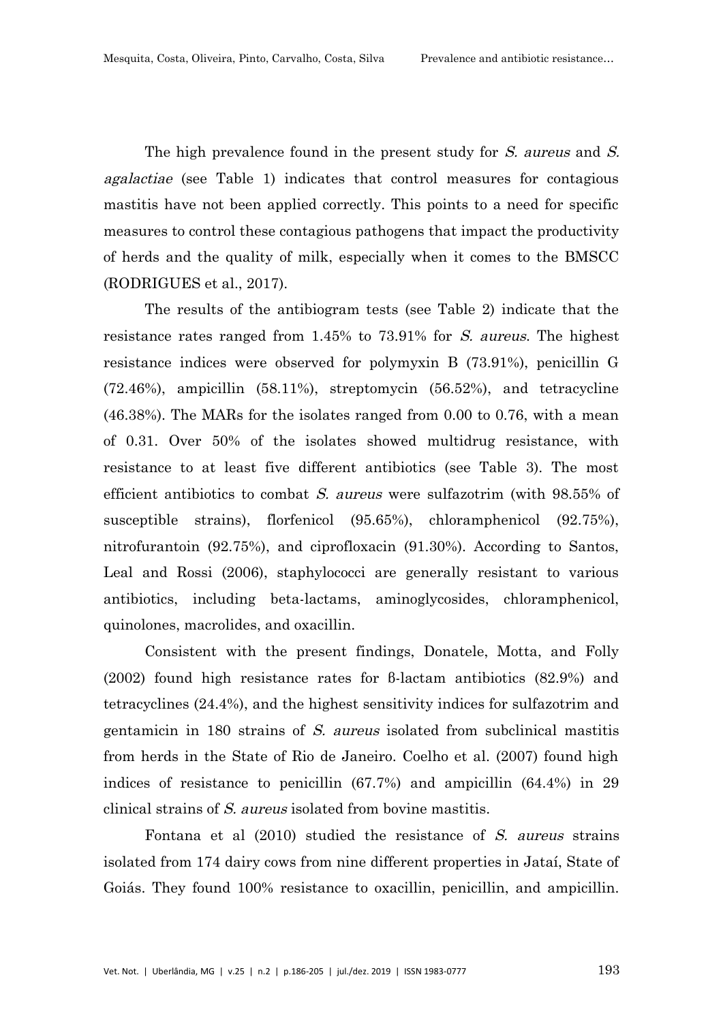The high prevalence found in the present study for S. aureus and S. agalactiae (see Table 1) indicates that control measures for contagious mastitis have not been applied correctly. This points to a need for specific measures to control these contagious pathogens that impact the productivity of herds and the quality of milk, especially when it comes to the BMSCC (RODRIGUES et al., 2017).

The results of the antibiogram tests (see Table 2) indicate that the resistance rates ranged from 1.45% to 73.91% for S. aureus. The highest resistance indices were observed for polymyxin B (73.91%), penicillin G (72.46%), ampicillin (58.11%), streptomycin (56.52%), and tetracycline (46.38%). The MARs for the isolates ranged from 0.00 to 0.76, with a mean of 0.31. Over 50% of the isolates showed multidrug resistance, with resistance to at least five different antibiotics (see Table 3). The most efficient antibiotics to combat S. aureus were sulfazotrim (with 98.55% of susceptible strains), florfenicol (95.65%), chloramphenicol (92.75%), nitrofurantoin (92.75%), and ciprofloxacin (91.30%). According to Santos, Leal and Rossi (2006), staphylococci are generally resistant to various antibiotics, including beta-lactams, aminoglycosides, chloramphenicol, quinolones, macrolides, and oxacillin.

Consistent with the present findings, Donatele, Motta, and Folly (2002) found high resistance rates for β-lactam antibiotics (82.9%) and tetracyclines (24.4%), and the highest sensitivity indices for sulfazotrim and gentamicin in 180 strains of S. aureus isolated from subclinical mastitis from herds in the State of Rio de Janeiro. Coelho et al. (2007) found high indices of resistance to penicillin (67.7%) and ampicillin (64.4%) in 29 clinical strains of S. aureus isolated from bovine mastitis.

Fontana et al (2010) studied the resistance of S. aureus strains isolated from 174 dairy cows from nine different properties in Jataí, State of Goiás. They found 100% resistance to oxacillin, penicillin, and ampicillin.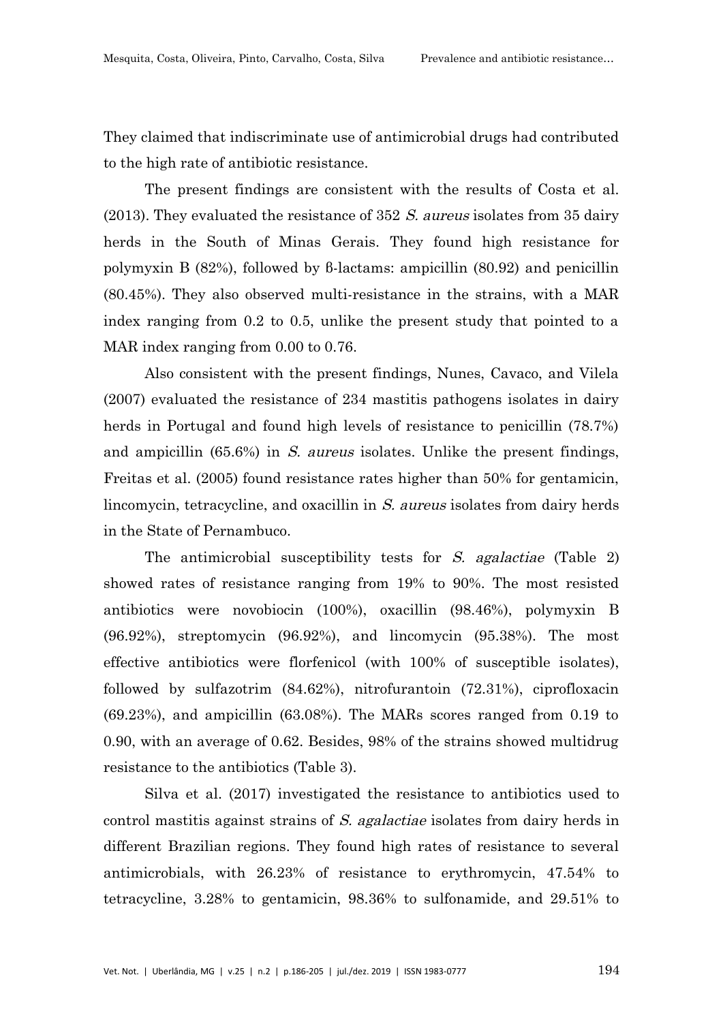They claimed that indiscriminate use of antimicrobial drugs had contributed to the high rate of antibiotic resistance.

The present findings are consistent with the results of Costa et al. (2013). They evaluated the resistance of  $352 S$ . *aureus* isolates from  $35 \text{ dairy}$ herds in the South of Minas Gerais. They found high resistance for polymyxin B (82%), followed by β-lactams: ampicillin (80.92) and penicillin (80.45%). They also observed multi-resistance in the strains, with a MAR index ranging from 0.2 to 0.5, unlike the present study that pointed to a MAR index ranging from 0.00 to 0.76.

Also consistent with the present findings, Nunes, Cavaco, and Vilela (2007) evaluated the resistance of 234 mastitis pathogens isolates in dairy herds in Portugal and found high levels of resistance to penicillin (78.7%) and ampicillin  $(65.6\%)$  in S. aureus isolates. Unlike the present findings, Freitas et al. (2005) found resistance rates higher than 50% for gentamicin, lincomycin, tetracycline, and oxacillin in S. aureus isolates from dairy herds in the State of Pernambuco.

The antimicrobial susceptibility tests for S. agalactiae (Table 2) showed rates of resistance ranging from 19% to 90%. The most resisted antibiotics were novobiocin (100%), oxacillin (98.46%), polymyxin B (96.92%), streptomycin (96.92%), and lincomycin (95.38%). The most effective antibiotics were florfenicol (with 100% of susceptible isolates), followed by sulfazotrim (84.62%), nitrofurantoin (72.31%), ciprofloxacin (69.23%), and ampicillin (63.08%). The MARs scores ranged from 0.19 to 0.90, with an average of 0.62. Besides, 98% of the strains showed multidrug resistance to the antibiotics (Table 3).

Silva et al. (2017) investigated the resistance to antibiotics used to control mastitis against strains of S. agalactiae isolates from dairy herds in different Brazilian regions. They found high rates of resistance to several antimicrobials, with 26.23% of resistance to erythromycin, 47.54% to tetracycline, 3.28% to gentamicin, 98.36% to sulfonamide, and 29.51% to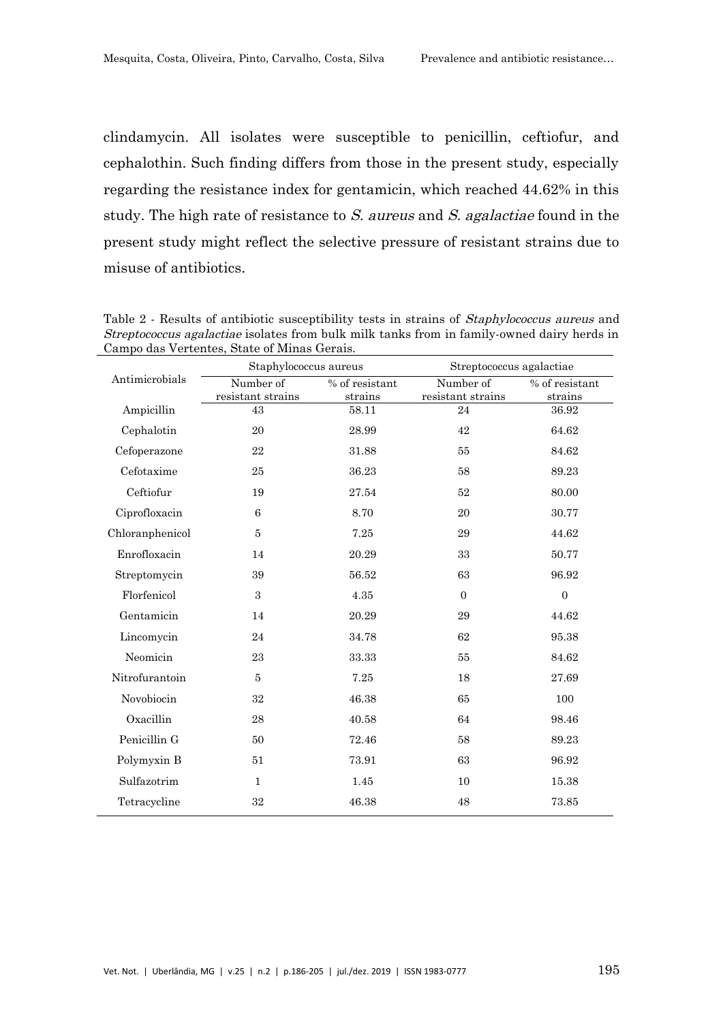clindamycin. All isolates were susceptible to penicillin, ceftiofur, and cephalothin. Such finding differs from those in the present study, especially regarding the resistance index for gentamicin, which reached 44.62% in this study. The high rate of resistance to S. aureus and S. agalactiae found in the present study might reflect the selective pressure of resistant strains due to misuse of antibiotics.

| Antimicrobials  | Staphylococcus aureus |                              | Streptococcus agalactiae |                |  |
|-----------------|-----------------------|------------------------------|--------------------------|----------------|--|
|                 | Number of             | $\overline{\%}$ of resistant | Number of                | % of resistant |  |
|                 | resistant strains     | strains                      | resistant strains        | strains        |  |
| Ampicillin      | 43                    | 58.11                        | 24                       | 36.92          |  |
| Cephalotin      | 20                    | 28.99                        | 42                       | 64.62          |  |
| Cefoperazone    | 22                    | 31.88                        | 55                       | 84.62          |  |
| Cefotaxime      | 25                    | 36.23                        | 58                       | 89.23          |  |
| Ceftiofur       | 19                    | 27.54                        | 52                       | 80.00          |  |
| Ciprofloxacin   | $\,6\,$               | 8.70                         | 20                       | 30.77          |  |
| Chloranphenicol | 5                     | 7.25                         | 29                       | 44.62          |  |
| Enrofloxacin    | 14                    | 20.29                        | 33                       | 50.77          |  |
| Streptomycin    | 39                    | 56.52                        | 63                       | 96.92          |  |
| Florfenicol     | $\boldsymbol{3}$      | 4.35                         | $\Omega$                 | $\overline{0}$ |  |
| Gentamicin      | 14                    | 20.29                        | 29                       | 44.62          |  |
| Lincomycin      | 24                    | 34.78                        | 62                       | 95.38          |  |
| Neomicin        | 23                    | 33.33                        | 55                       | 84.62          |  |
| Nitrofurantoin  | 5                     | 7.25                         | 18                       | 27.69          |  |
| Novobiocin      | 32                    | 46.38                        | 65                       | 100            |  |
| Oxacillin       | 28                    | 40.58                        | 64                       | 98.46          |  |
| Penicillin G    | 50                    | 72.46                        | 58                       | 89.23          |  |
| Polymyxin B     | 51                    | 73.91                        | 63                       | 96.92          |  |
| Sulfazotrim     | $\mathbf{1}$          | 1.45                         | 10                       | 15.38          |  |
| Tetracycline    | 32                    | 46.38                        | 48                       | 73.85          |  |

Table 2 - Results of antibiotic susceptibility tests in strains of Staphylococcus aureus and Streptococcus agalactiae isolates from bulk milk tanks from in family-owned dairy herds in Campo das Vertentes, State of Minas Gerais.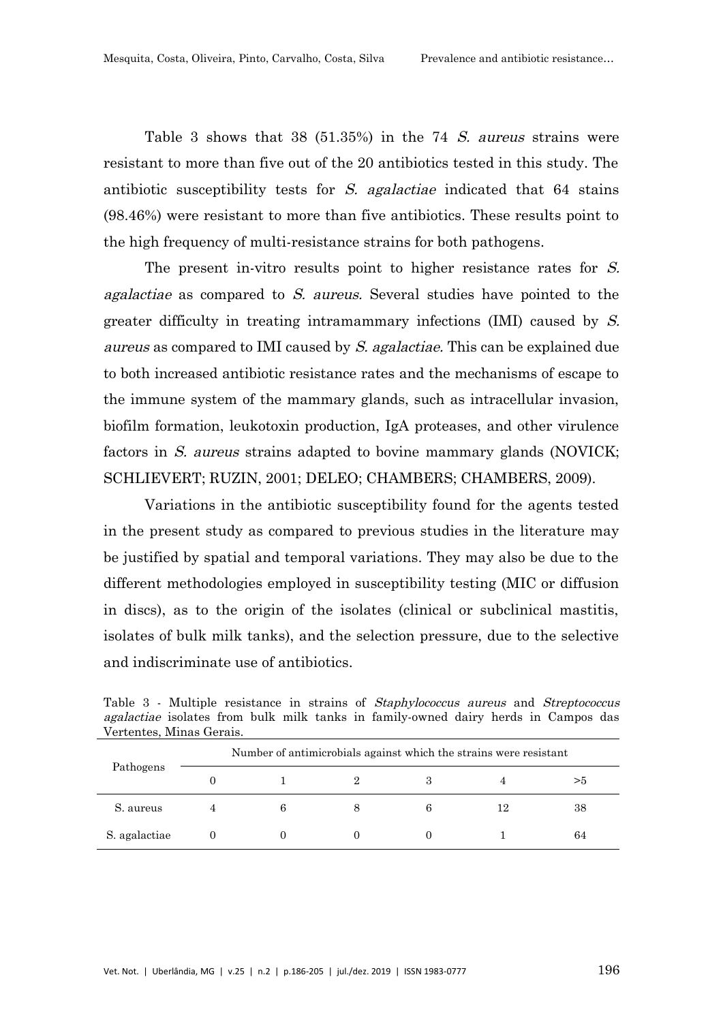Table 3 shows that 38 (51.35%) in the 74 S. aureus strains were resistant to more than five out of the 20 antibiotics tested in this study. The antibiotic susceptibility tests for S. agalactiae indicated that 64 stains (98.46%) were resistant to more than five antibiotics. These results point to the high frequency of multi-resistance strains for both pathogens.

The present in-vitro results point to higher resistance rates for S. agalactiae as compared to S. aureus. Several studies have pointed to the greater difficulty in treating intramammary infections (IMI) caused by S. aureus as compared to IMI caused by S. agalactiae. This can be explained due to both increased antibiotic resistance rates and the mechanisms of escape to the immune system of the mammary glands, such as intracellular invasion, biofilm formation, leukotoxin production, IgA proteases, and other virulence factors in S. aureus strains adapted to bovine mammary glands (NOVICK; SCHLIEVERT; RUZIN, 2001; DELEO; CHAMBERS; CHAMBERS, 2009).

Variations in the antibiotic susceptibility found for the agents tested in the present study as compared to previous studies in the literature may be justified by spatial and temporal variations. They may also be due to the different methodologies employed in susceptibility testing (MIC or diffusion in discs), as to the origin of the isolates (clinical or subclinical mastitis, isolates of bulk milk tanks), and the selection pressure, due to the selective and indiscriminate use of antibiotics.

| Pathogens     | Number of antimicrobials against which the strains were resistant |  |  |    |    |  |
|---------------|-------------------------------------------------------------------|--|--|----|----|--|
|               |                                                                   |  |  |    | >5 |  |
| S. aureus     | 6                                                                 |  |  | 12 | 38 |  |
| S. agalactiae |                                                                   |  |  |    | 64 |  |

Table 3 - Multiple resistance in strains of Staphylococcus aureus and Streptococcus agalactiae isolates from bulk milk tanks in family-owned dairy herds in Campos das Vertentes, Minas Gerais.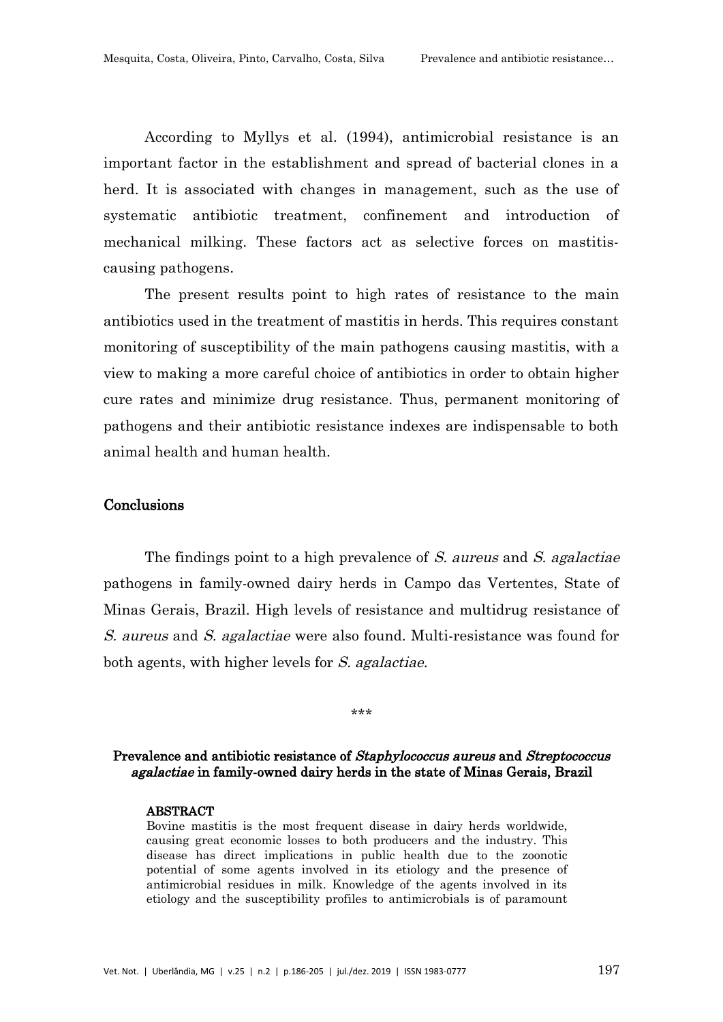According to Myllys et al. (1994), antimicrobial resistance is an important factor in the establishment and spread of bacterial clones in a herd. It is associated with changes in management, such as the use of systematic antibiotic treatment, confinement and introduction of mechanical milking. These factors act as selective forces on mastitiscausing pathogens.

The present results point to high rates of resistance to the main antibiotics used in the treatment of mastitis in herds. This requires constant monitoring of susceptibility of the main pathogens causing mastitis, with a view to making a more careful choice of antibiotics in order to obtain higher cure rates and minimize drug resistance. Thus, permanent monitoring of pathogens and their antibiotic resistance indexes are indispensable to both animal health and human health.

# **Conclusions**

The findings point to a high prevalence of S. aureus and S. agalactiae pathogens in family-owned dairy herds in Campo das Vertentes, State of Minas Gerais, Brazil. High levels of resistance and multidrug resistance of S. aureus and S. agalactiae were also found. Multi-resistance was found for both agents, with higher levels for S. agalactiae.

# Prevalence and antibiotic resistance of Staphylococcus aureus and Streptococcus agalactiae in family-owned dairy herds in the state of Minas Gerais, Brazil

\*\*\*

#### ABSTRACT

Bovine mastitis is the most frequent disease in dairy herds worldwide, causing great economic losses to both producers and the industry. This disease has direct implications in public health due to the zoonotic potential of some agents involved in its etiology and the presence of antimicrobial residues in milk. Knowledge of the agents involved in its etiology and the susceptibility profiles to antimicrobials is of paramount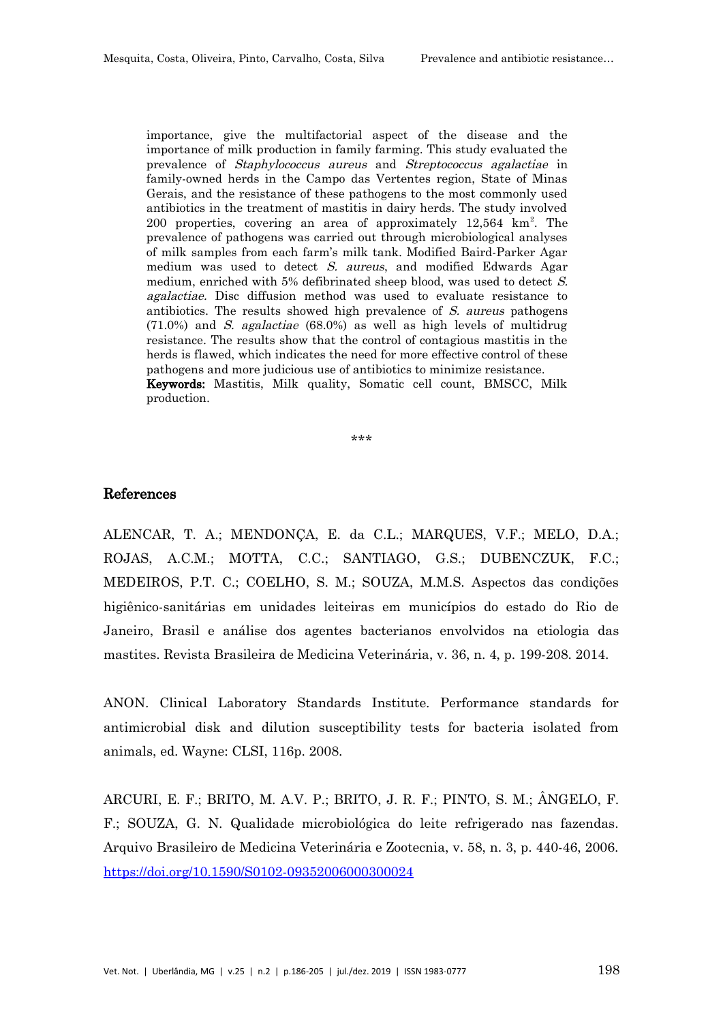importance, give the multifactorial aspect of the disease and the importance of milk production in family farming. This study evaluated the prevalence of Staphylococcus aureus and Streptococcus agalactiae in family-owned herds in the Campo das Vertentes region, State of Minas Gerais, and the resistance of these pathogens to the most commonly used antibiotics in the treatment of mastitis in dairy herds. The study involved 200 properties, covering an area of approximately 12,564 km<sup>2</sup>. The prevalence of pathogens was carried out through microbiological analyses of milk samples from each farm's milk tank. Modified Baird-Parker Agar medium was used to detect S. aureus, and modified Edwards Agar medium, enriched with 5% defibrinated sheep blood, was used to detect S. agalactiae. Disc diffusion method was used to evaluate resistance to antibiotics. The results showed high prevalence of S. aureus pathogens  $(71.0\%)$  and *S. agalactiae*  $(68.0\%)$  as well as high levels of multidrug resistance. The results show that the control of contagious mastitis in the herds is flawed, which indicates the need for more effective control of these pathogens and more judicious use of antibiotics to minimize resistance. Keywords: Mastitis, Milk quality, Somatic cell count, BMSCC, Milk production.

**یک میلی میلی** 

#### References

ALENCAR, T. A.; MENDONÇA, E. da C.L.; MARQUES, V.F.; MELO, D.A.; ROJAS, A.C.M.; MOTTA, C.C.; SANTIAGO, G.S.; DUBENCZUK, F.C.; MEDEIROS, P.T. C.; COELHO, S. M.; SOUZA, M.M.S. Aspectos das condições higiênico-sanitárias em unidades leiteiras em municípios do estado do Rio de Janeiro, Brasil e análise dos agentes bacterianos envolvidos na etiologia das mastites. Revista Brasileira de Medicina Veterinária, v. 36, n. 4, p. 199-208. 2014.

ANON. Clinical Laboratory Standards Institute. Performance standards for antimicrobial disk and dilution susceptibility tests for bacteria isolated from animals, ed. Wayne: CLSI, 116p. 2008.

ARCURI, E. F.; BRITO, M. A.V. P.; BRITO, J. R. F.; PINTO, S. M.; ÂNGELO, F. F.; SOUZA, G. N. Qualidade microbiológica do leite refrigerado nas fazendas. Arquivo Brasileiro de Medicina Veterinária e Zootecnia, v. 58, n. 3, p. 440-46, 2006. <https://doi.org/10.1590/S0102-09352006000300024>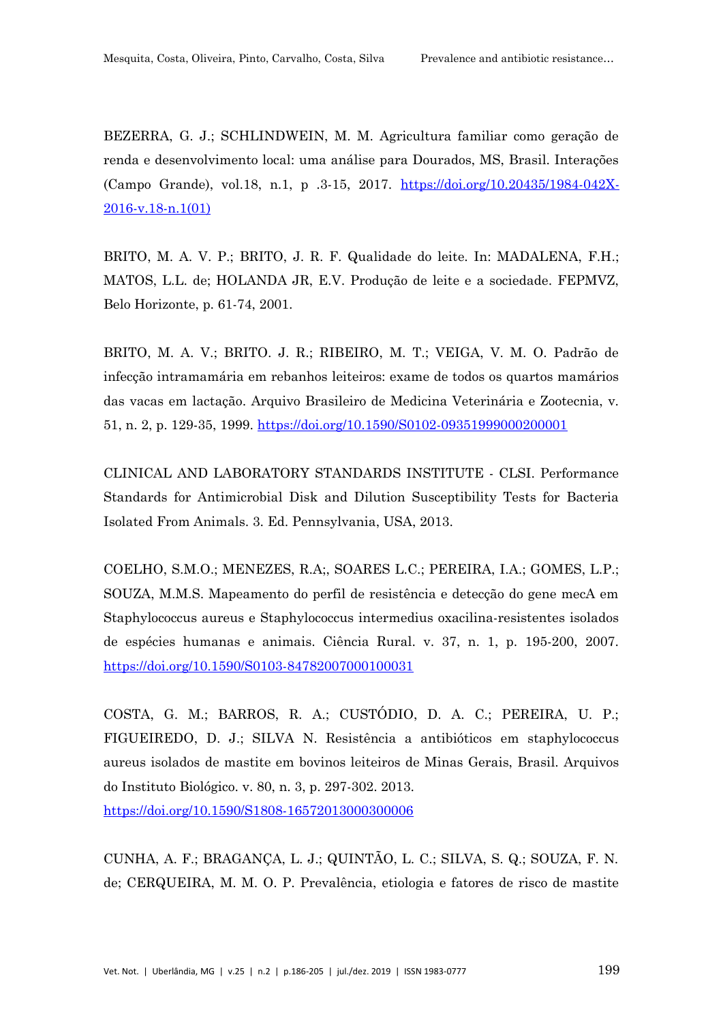BEZERRA, G. J.; SCHLINDWEIN, M. M. Agricultura familiar como geração de renda e desenvolvimento local: uma análise para Dourados, MS, Brasil. Interações (Campo Grande), vol.18, n.1, p .3-15, 2017. [https://doi.org/10.20435/1984-042X-](https://doi.org/10.20435/1984-042X-2016-v.18-n.1(01) 2016-v.18-n.1(01)

BRITO, M. A. V. P.; BRITO, J. R. F. Qualidade do leite. In: MADALENA, F.H.; MATOS, L.L. de; HOLANDA JR, E.V. Produção de leite e a sociedade. FEPMVZ, Belo Horizonte, p. 61-74, 2001.

BRITO, M. A. V.; BRITO. J. R.; RIBEIRO, M. T.; VEIGA, V. M. O. Padrão de infecção intramamária em rebanhos leiteiros: exame de todos os quartos mamários das vacas em lactação. Arquivo Brasileiro de Medicina Veterinária e Zootecnia, v. 51, n. 2, p. 129-35, 1999. <https://doi.org/10.1590/S0102-09351999000200001>

CLINICAL AND LABORATORY STANDARDS INSTITUTE - CLSI. Performance Standards for Antimicrobial Disk and Dilution Susceptibility Tests for Bacteria Isolated From Animals. 3. Ed. Pennsylvania, USA, 2013.

COELHO, S.M.O.; MENEZES, R.A;, SOARES L.C.; PEREIRA, I.A.; GOMES, L.P.; SOUZA, M.M.S. Mapeamento do perfil de resistência e detecção do gene mecA em Staphylococcus aureus e Staphylococcus intermedius oxacilina-resistentes isolados de espécies humanas e animais. Ciência Rural. v. 37, n. 1, p. 195-200, 2007. <https://doi.org/10.1590/S0103-84782007000100031>

COSTA, G. M.; BARROS, R. A.; CUSTÓDIO, D. A. C.; PEREIRA, U. P.; FIGUEIREDO, D. J.; SILVA N. Resistência a antibióticos em staphylococcus aureus isolados de mastite em bovinos leiteiros de Minas Gerais, Brasil. Arquivos do Instituto Biológico. v. 80, n. 3, p. 297-302. 2013. <https://doi.org/10.1590/S1808-16572013000300006>

CUNHA, A. F.; BRAGANÇA, L. J.; QUINTÃO, L. C.; SILVA, S. Q.; SOUZA, F. N. de; CERQUEIRA, M. M. O. P. Prevalência, etiologia e fatores de risco de mastite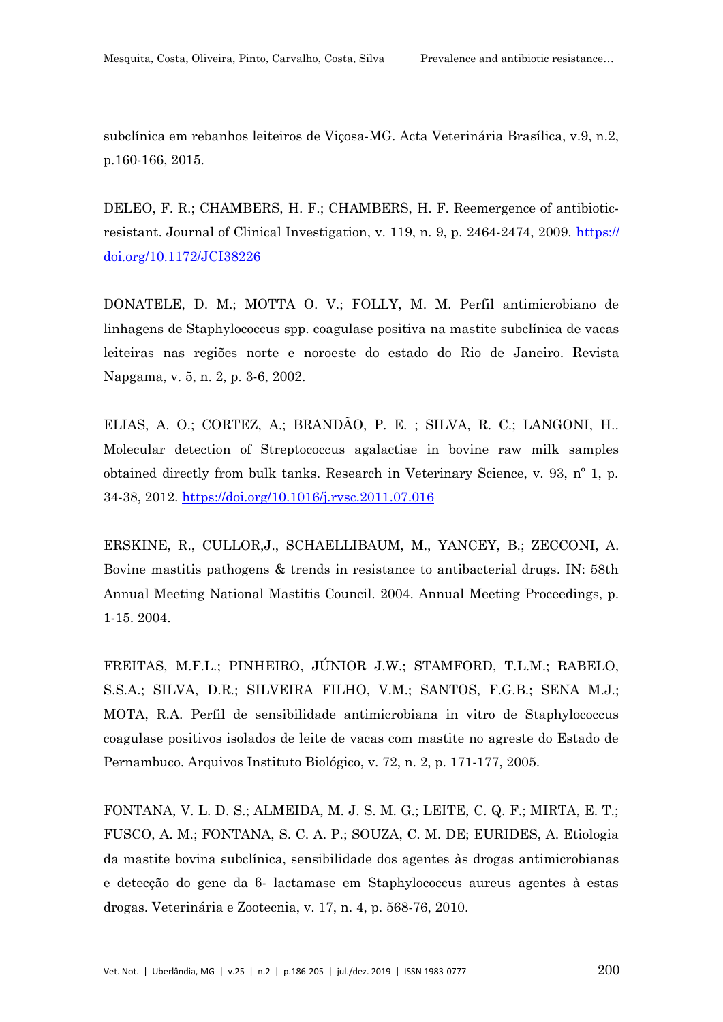subclínica em rebanhos leiteiros de Viçosa-MG. Acta Veterinária Brasílica, v.9, n.2, p.160-166, 2015.

DELEO, F. R.; CHAMBERS, H. F.; CHAMBERS, H. F. Reemergence of antibioticresistant. Journal of Clinical Investigation, v. 119, n. 9, p. 2464-2474, 2009. [https://](https://doi.org/10.1172/JCI38226) [doi.org/10.1172/JCI38226](https://doi.org/10.1172/JCI38226)

DONATELE, D. M.; MOTTA O. V.; FOLLY, M. M. Perfil antimicrobiano de linhagens de Staphylococcus spp. coagulase positiva na mastite subclínica de vacas leiteiras nas regiões norte e noroeste do estado do Rio de Janeiro. Revista Napgama, v. 5, n. 2, p. 3-6, 2002.

ELIAS, A. O.; CORTEZ, A.; BRANDÃO, P. E. ; SILVA, R. C.; LANGONI, H.. Molecular detection of Streptococcus agalactiae in bovine raw milk samples obtained directly from bulk tanks. Research in Veterinary Science, v. 93, nº 1, p. 34-38, 2012.<https://doi.org/10.1016/j.rvsc.2011.07.016>

ERSKINE, R., CULLOR,J., SCHAELLIBAUM, M., YANCEY, B.; ZECCONI, A. Bovine mastitis pathogens & trends in resistance to antibacterial drugs. IN: 58th Annual Meeting National Mastitis Council. 2004. Annual Meeting Proceedings, p. 1-15. 2004.

FREITAS, M.F.L.; PINHEIRO, JÚNIOR J.W.; STAMFORD, T.L.M.; RABELO, S.S.A.; SILVA, D.R.; SILVEIRA FILHO, V.M.; SANTOS, F.G.B.; SENA M.J.; MOTA, R.A. Perfil de sensibilidade antimicrobiana in vitro de Staphylococcus coagulase positivos isolados de leite de vacas com mastite no agreste do Estado de Pernambuco. Arquivos Instituto Biológico, v. 72, n. 2, p. 171-177, 2005.

FONTANA, V. L. D. S.; ALMEIDA, M. J. S. M. G.; LEITE, C. Q. F.; MIRTA, E. T.; FUSCO, A. M.; FONTANA, S. C. A. P.; SOUZA, C. M. DE; EURIDES, A. Etiologia da mastite bovina subclínica, sensibilidade dos agentes às drogas antimicrobianas e detecção do gene da β- lactamase em Staphylococcus aureus agentes à estas drogas. Veterinária e Zootecnia, v. 17, n. 4, p. 568-76, 2010.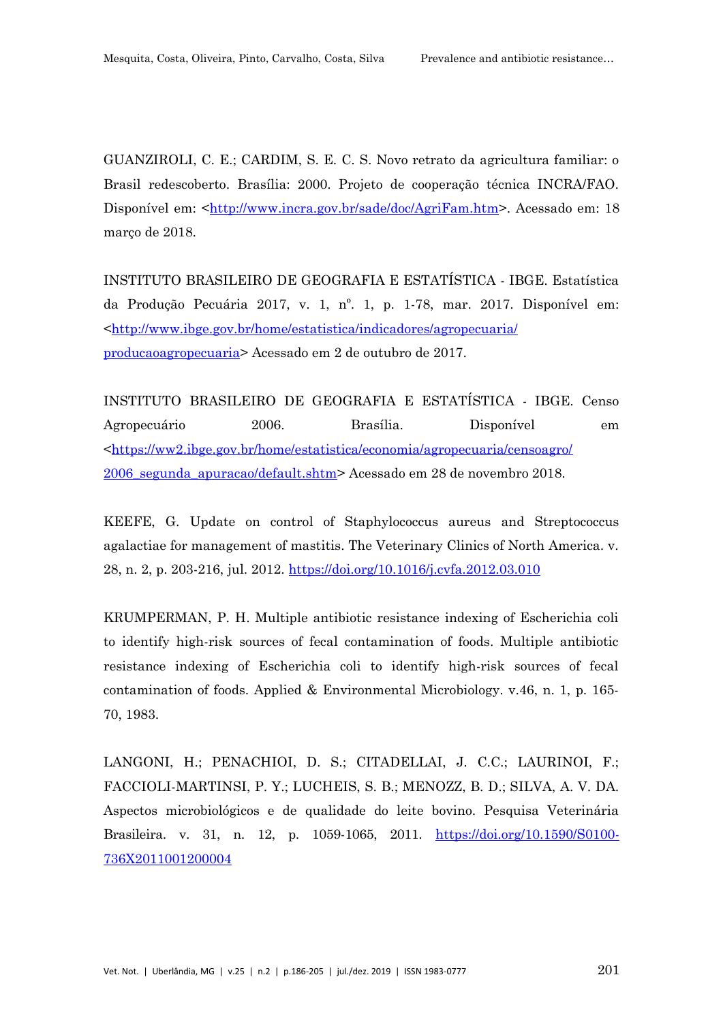GUANZIROLI, C. E.; CARDIM, S. E. C. S. Novo retrato da agricultura familiar: o Brasil redescoberto. Brasília: 2000. Projeto de cooperação técnica INCRA/FAO. Disponível em: <[http://www.incra.gov.br/sade/doc/AgriFam.htm>](http://www.incra.gov.br/sade/doc/AgriFam.htm). Acessado em: 18 março de 2018.

INSTITUTO BRASILEIRO DE GEOGRAFIA E ESTATÍSTICA - IBGE. Estatística da Produção Pecuária 2017, v. 1, nº. 1, p. 1-78, mar. 2017. Disponível em: <[http://www.ibge.gov.br/home/estatistica/indicadores/agropecuaria/](http://www.ibge.gov.br/home/estatistica/indicadores/agropecuaria/producaoagropecuaria) [producaoagropecuaria>](http://www.ibge.gov.br/home/estatistica/indicadores/agropecuaria/producaoagropecuaria) Acessado em 2 de outubro de 2017.

INSTITUTO BRASILEIRO DE GEOGRAFIA E ESTATÍSTICA - IBGE. Censo Agropecuário 2006. Brasília. Disponível em <[https://ww2.ibge.gov.br/home/estatistica/economia/agropecuaria/censoagro/](https://ww2.ibge.gov.br/home/estatistica/economia/agropecuaria/censoagro/2006_segunda_apuracao/default.shtm) [2006\\_segunda\\_apuracao/default.shtm>](https://ww2.ibge.gov.br/home/estatistica/economia/agropecuaria/censoagro/2006_segunda_apuracao/default.shtm) Acessado em 28 de novembro 2018.

KEEFE, G. Update on control of Staphylococcus aureus and Streptococcus agalactiae for management of mastitis. The Veterinary Clinics of North America. v. 28, n. 2, p. 203-216, jul. 2012. <https://doi.org/10.1016/j.cvfa.2012.03.010>

KRUMPERMAN, P. H. Multiple antibiotic resistance indexing of Escherichia coli to identify high-risk sources of fecal contamination of foods. Multiple antibiotic resistance indexing of Escherichia coli to identify high-risk sources of fecal contamination of foods. Applied & Environmental Microbiology. v.46, n. 1, p. 165- 70, 1983.

LANGONI, H.; PENACHIOI, D. S.; CITADELLAI, J. C.C.; LAURINOI, F.; FACCIOLI-MARTINSI, P. Y.; LUCHEIS, S. B.; MENOZZ, B. D.; SILVA, A. V. DA. Aspectos microbiológicos e de qualidade do leite bovino. Pesquisa Veterinária Brasileira. v. 31, n. 12, p. 1059-1065, 2011. [https://doi.org/10.1590/S0100-](https://doi.org/10.1590/S0100-736X2011001200004) [736X2011001200004](https://doi.org/10.1590/S0100-736X2011001200004)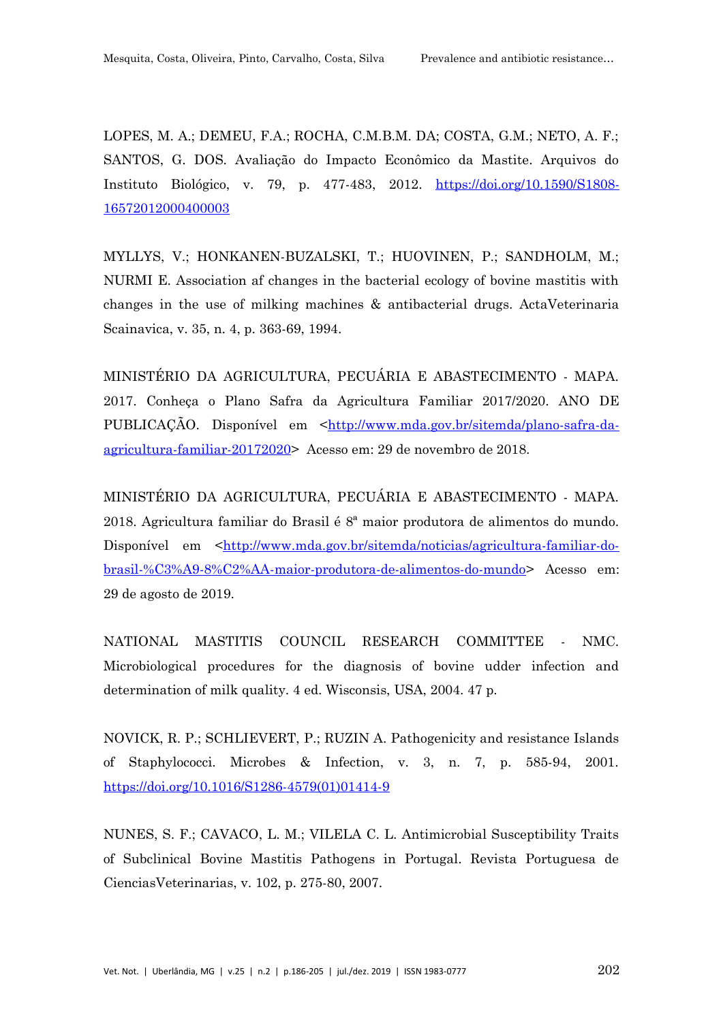LOPES, M. A.; DEMEU, F.A.; ROCHA, C.M.B.M. DA; COSTA, G.M.; NETO, A. F.; SANTOS, G. DOS. Avaliação do Impacto Econômico da Mastite. Arquivos do Instituto Biológico, v. 79, p. 477-483, 2012. [https://doi.org/10.1590/S1808-](https://doi.org/10.1590/S1808-16572012000400003) [16572012000400003](https://doi.org/10.1590/S1808-16572012000400003)

MYLLYS, V.; HONKANEN-BUZALSKI, T.; HUOVINEN, P.; SANDHOLM, M.; NURMI E. Association af changes in the bacterial ecology of bovine mastitis with changes in the use of milking machines & antibacterial drugs. ActaVeterinaria Scainavica, v. 35, n. 4, p. 363-69, 1994.

MINISTÉRIO DA AGRICULTURA, PECUÁRIA E ABASTECIMENTO - MAPA. 2017. Conheça o Plano Safra da Agricultura Familiar 2017/2020. ANO DE PUBLICAÇÃO. Disponível em [<http://www.mda.gov.br/sitemda/plano-safra-da](http://www.mda.gov.br/sitemda/plano-safra-da-agricultura-familiar-20172020)[agricultura-familiar-20172020>](http://www.mda.gov.br/sitemda/plano-safra-da-agricultura-familiar-20172020) Acesso em: 29 de novembro de 2018.

MINISTÉRIO DA AGRICULTURA, PECUÁRIA E ABASTECIMENTO - MAPA. 2018. Agricultura familiar do Brasil é 8ª maior produtora de alimentos do mundo. Disponível em <[http://www.mda.gov.br/sitemda/noticias/agricultura-familiar-do](http://www.mda.gov.br/sitemda/noticias/agricultura-familiar-do-brasil-%C3%A9-8%C2%AA-maior-produtora-de-alimentos-do-mundo)[brasil-%C3%A9-8%C2%AA-maior-produtora-de-alimentos-do-mundo](http://www.mda.gov.br/sitemda/noticias/agricultura-familiar-do-brasil-%C3%A9-8%C2%AA-maior-produtora-de-alimentos-do-mundo)> Acesso em: 29 de agosto de 2019.

NATIONAL MASTITIS COUNCIL RESEARCH COMMITTEE - NMC. Microbiological procedures for the diagnosis of bovine udder infection and determination of milk quality. 4 ed. Wisconsis, USA, 2004. 47 p.

NOVICK, R. P.; SCHLIEVERT, P.; RUZIN A. Pathogenicity and resistance Islands of Staphylococci. Microbes & Infection, v. 3, n. 7, p. 585-94, 2001. [https://doi.org/10.1016/S1286-4579\(01\)01414-9](https://doi.org/10.1016/S1286-4579(01)01414-9)

NUNES, S. F.; CAVACO, L. M.; VILELA C. L. Antimicrobial Susceptibility Traits of Subclinical Bovine Mastitis Pathogens in Portugal. Revista Portuguesa de CienciasVeterinarias, v. 102, p. 275-80, 2007.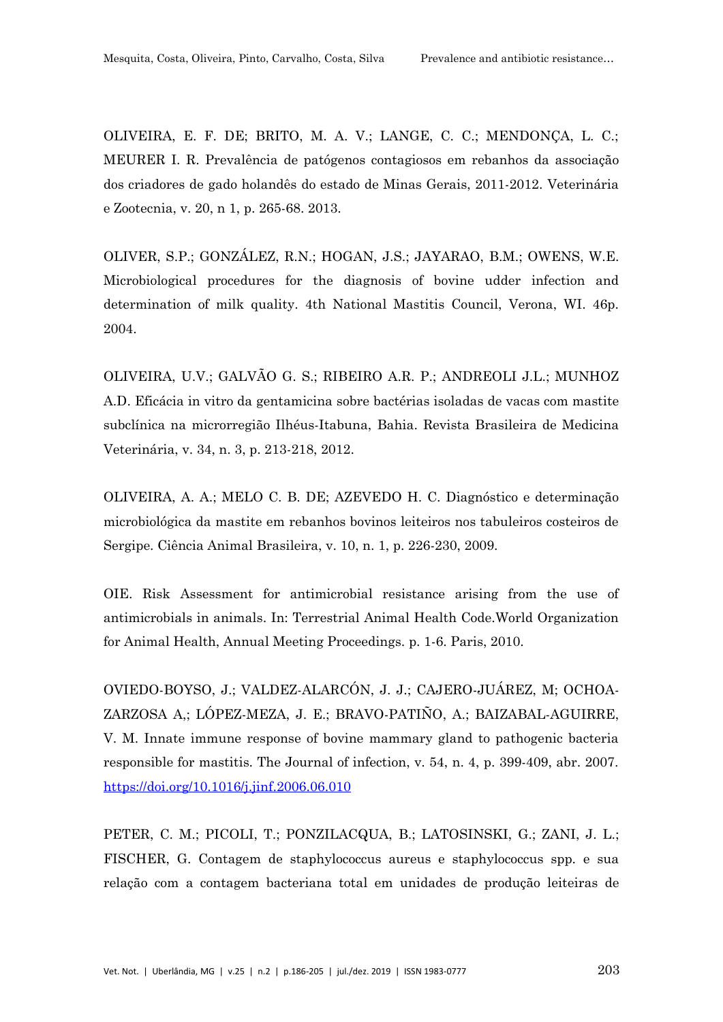OLIVEIRA, E. F. DE; BRITO, M. A. V.; LANGE, C. C.; MENDONÇA, L. C.; MEURER I. R. Prevalência de patógenos contagiosos em rebanhos da associação dos criadores de gado holandês do estado de Minas Gerais, 2011-2012. Veterinária e Zootecnia, v. 20, n 1, p. 265-68. 2013.

OLIVER, S.P.; GONZÁLEZ, R.N.; HOGAN, J.S.; JAYARAO, B.M.; OWENS, W.E. Microbiological procedures for the diagnosis of bovine udder infection and determination of milk quality. 4th National Mastitis Council, Verona, WI. 46p. 2004.

OLIVEIRA, U.V.; GALVÃO G. S.; RIBEIRO A.R. P.; ANDREOLI J.L.; MUNHOZ A.D. Eficácia in vitro da gentamicina sobre bactérias isoladas de vacas com mastite subclínica na microrregião Ilhéus-Itabuna, Bahia. Revista Brasileira de Medicina Veterinária, v. 34, n. 3, p. 213-218, 2012.

OLIVEIRA, A. A.; MELO C. B. DE; AZEVEDO H. C. Diagnóstico e determinação microbiológica da mastite em rebanhos bovinos leiteiros nos tabuleiros costeiros de Sergipe. Ciência Animal Brasileira, v. 10, n. 1, p. 226-230, 2009.

OIE. Risk Assessment for antimicrobial resistance arising from the use of antimicrobials in animals. In: Terrestrial Animal Health Code.World Organization for Animal Health, Annual Meeting Proceedings. p. 1-6. Paris, 2010.

OVIEDO-BOYSO, J.; VALDEZ-ALARCÓN, J. J.; CAJERO-JUÁREZ, M; OCHOA-ZARZOSA A,; LÓPEZ-MEZA, J. E.; BRAVO-PATIÑO, A.; BAIZABAL-AGUIRRE, V. M. Innate immune response of bovine mammary gland to pathogenic bacteria responsible for mastitis. The Journal of infection, v. 54, n. 4, p. 399-409, abr. 2007. <https://doi.org/10.1016/j.jinf.2006.06.010>

PETER, C. M.; PICOLI, T.; PONZILACQUA, B.; LATOSINSKI, G.; ZANI, J. L.; FISCHER, G. Contagem de staphylococcus aureus e staphylococcus spp. e sua relação com a contagem bacteriana total em unidades de produção leiteiras de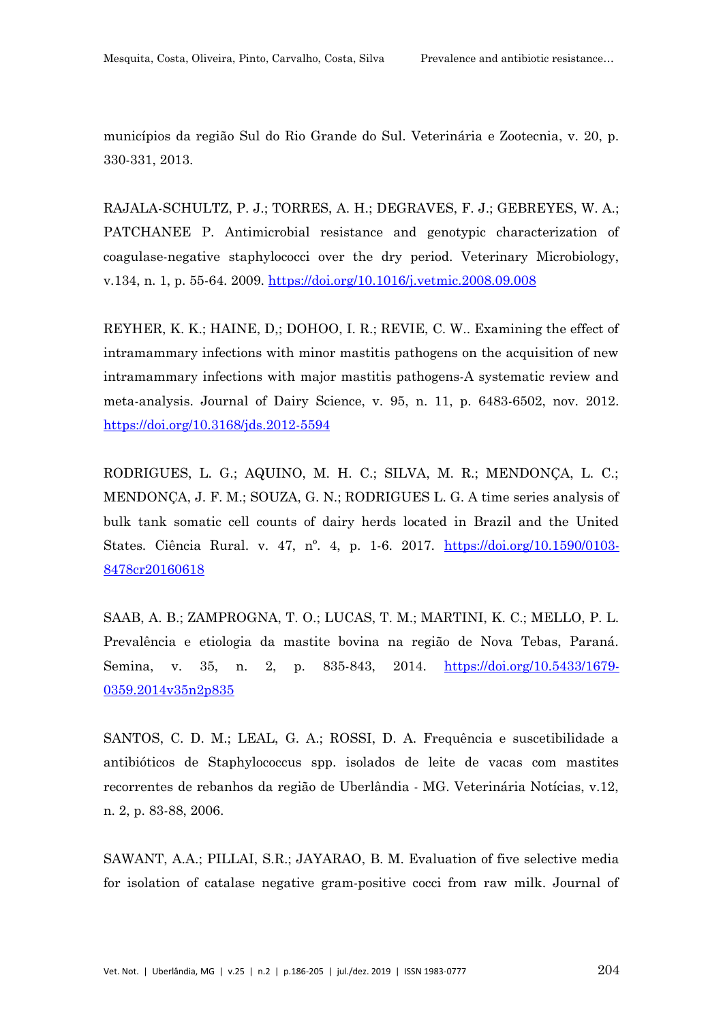municípios da região Sul do Rio Grande do Sul. Veterinária e Zootecnia, v. 20, p. 330-331, 2013.

RAJALA-SCHULTZ, P. J.; TORRES, A. H.; DEGRAVES, F. J.; GEBREYES, W. A.; PATCHANEE P. Antimicrobial resistance and genotypic characterization of coagulase-negative staphylococci over the dry period. Veterinary Microbiology, v.134, n. 1, p. 55-64. 2009. <https://doi.org/10.1016/j.vetmic.2008.09.008>

REYHER, K. K.; HAINE, D,; DOHOO, I. R.; REVIE, C. W.. Examining the effect of intramammary infections with minor mastitis pathogens on the acquisition of new intramammary infections with major mastitis pathogens-A systematic review and meta-analysis. Journal of Dairy Science, v. 95, n. 11, p. 6483-6502, nov. 2012. <https://doi.org/10.3168/jds.2012-5594>

RODRIGUES, L. G.; AQUINO, M. H. C.; SILVA, M. R.; MENDONÇA, L. C.; MENDONÇA, J. F. M.; SOUZA, G. N.; RODRIGUES L. G. A time series analysis of bulk tank somatic cell counts of dairy herds located in Brazil and the United States. Ciência Rural. v. 47, n<sup>o</sup>. 4, p. 1-6. 2017. [https://doi.org/10.1590/0103-](https://doi.org/10.1590/0103-8478cr20160618) [8478cr20160618](https://doi.org/10.1590/0103-8478cr20160618)

SAAB, A. B.; ZAMPROGNA, T. O.; LUCAS, T. M.; MARTINI, K. C.; MELLO, P. L. Prevalência e etiologia da mastite bovina na região de Nova Tebas, Paraná. Semina, v. 35, n. 2, p. 835-843, 2014. [https://doi.org/10.5433/1679-](https://doi.org/10.5433/1679-0359.2014v35n2p835) [0359.2014v35n2p835](https://doi.org/10.5433/1679-0359.2014v35n2p835)

SANTOS, C. D. M.; LEAL, G. A.; ROSSI, D. A. Frequência e suscetibilidade a antibióticos de Staphylococcus spp. isolados de leite de vacas com mastites recorrentes de rebanhos da região de Uberlândia - MG. Veterinária Notícias, v.12, n. 2, p. 83-88, 2006.

SAWANT, A.A.; PILLAI, S.R.; JAYARAO, B. M. Evaluation of five selective media for isolation of catalase negative gram-positive cocci from raw milk. Journal of